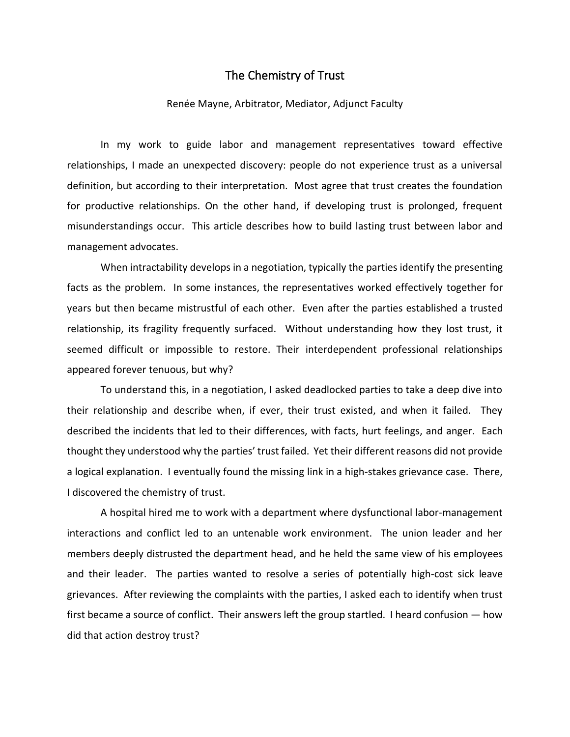## The Chemistry of Trust

## Renée Mayne, Arbitrator, Mediator, Adjunct Faculty

In my work to guide labor and management representatives toward effective relationships, I made an unexpected discovery: people do not experience trust as a universal definition, but according to their interpretation. Most agree that trust creates the foundation for productive relationships. On the other hand, if developing trust is prolonged, frequent misunderstandings occur. This article describes how to build lasting trust between labor and management advocates.

When intractability develops in a negotiation, typically the parties identify the presenting facts as the problem. In some instances, the representatives worked effectively together for years but then became mistrustful of each other. Even after the parties established a trusted relationship, its fragility frequently surfaced. Without understanding how they lost trust, it seemed difficult or impossible to restore. Their interdependent professional relationships appeared forever tenuous, but why?

To understand this, in a negotiation, I asked deadlocked parties to take a deep dive into their relationship and describe when, if ever, their trust existed, and when it failed. They described the incidents that led to their differences, with facts, hurt feelings, and anger. Each thought they understood why the parties' trust failed. Yet their different reasons did not provide a logical explanation. I eventually found the missing link in a high-stakes grievance case. There, I discovered the chemistry of trust.

A hospital hired me to work with a department where dysfunctional labor-management interactions and conflict led to an untenable work environment. The union leader and her members deeply distrusted the department head, and he held the same view of his employees and their leader. The parties wanted to resolve a series of potentially high-cost sick leave grievances. After reviewing the complaints with the parties, I asked each to identify when trust first became a source of conflict. Their answers left the group startled. I heard confusion — how did that action destroy trust?